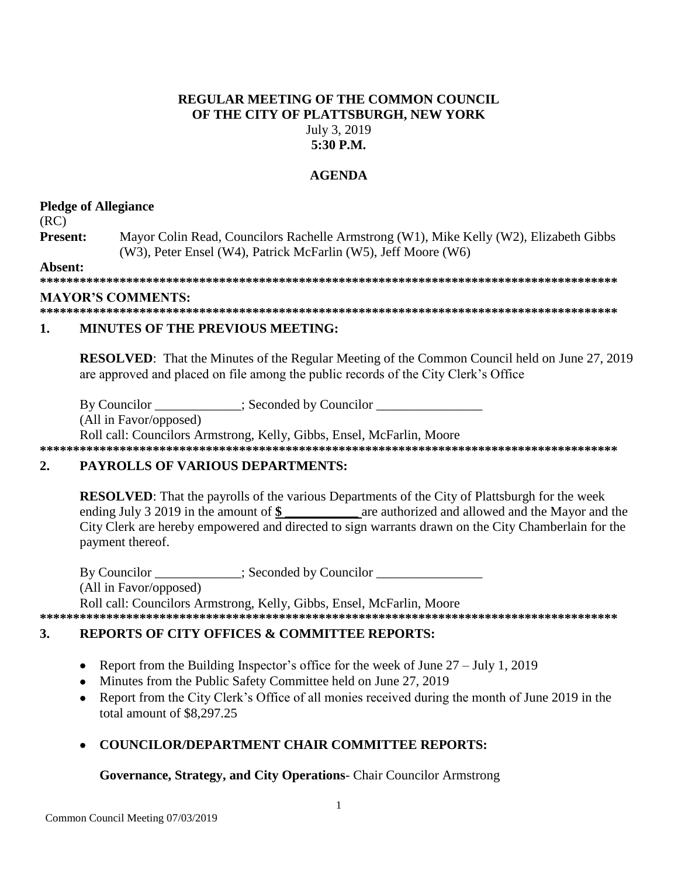## **REGULAR MEETING OF THE COMMON COUNCIL OF THE CITY OF PLATTSBURGH, NEW YORK** July 3, 2019 **5:30 P.M.**

## **AGENDA**

## **Pledge of Allegiance**

(RC)

**Present:** Mayor Colin Read, Councilors Rachelle Armstrong (W1), Mike Kelly (W2), Elizabeth Gibbs (W3), Peter Ensel (W4), Patrick McFarlin (W5), Jeff Moore (W6)

**Absent:**

**\*\*\*\*\*\*\*\*\*\*\*\*\*\*\*\*\*\*\*\*\*\*\*\*\*\*\*\*\*\*\*\*\*\*\*\*\*\*\*\*\*\*\*\*\*\*\*\*\*\*\*\*\*\*\*\*\*\*\*\*\*\*\*\*\*\*\*\*\*\*\*\*\*\*\*\*\*\*\*\*\*\*\*\*\*\*\***

### **MAYOR'S COMMENTS:**

**\*\*\*\*\*\*\*\*\*\*\*\*\*\*\*\*\*\*\*\*\*\*\*\*\*\*\*\*\*\*\*\*\*\*\*\*\*\*\*\*\*\*\*\*\*\*\*\*\*\*\*\*\*\*\*\*\*\*\*\*\*\*\*\*\*\*\*\*\*\*\*\*\*\*\*\*\*\*\*\*\*\*\*\*\*\*\***

## **1. MINUTES OF THE PREVIOUS MEETING:**

**RESOLVED**: That the Minutes of the Regular Meeting of the Common Council held on June 27, 2019 are approved and placed on file among the public records of the City Clerk's Office

By Councilor \_\_\_\_\_\_\_\_\_\_\_; Seconded by Councilor \_\_\_\_\_\_\_\_\_\_\_\_\_\_\_\_\_\_\_\_\_\_\_\_\_\_\_\_\_\_\_\_

(All in Favor/opposed)

Roll call: Councilors Armstrong, Kelly, Gibbs, Ensel, McFarlin, Moore

**\*\*\*\*\*\*\*\*\*\*\*\*\*\*\*\*\*\*\*\*\*\*\*\*\*\*\*\*\*\*\*\*\*\*\*\*\*\*\*\*\*\*\*\*\*\*\*\*\*\*\*\*\*\*\*\*\*\*\*\*\*\*\*\*\*\*\*\*\*\*\*\*\*\*\*\*\*\*\*\*\*\*\*\*\*\*\***

# **2. PAYROLLS OF VARIOUS DEPARTMENTS:**

**RESOLVED**: That the payrolls of the various Departments of the City of Plattsburgh for the week ending July 3 2019 in the amount of \$ are authorized and allowed and the Mayor and the City Clerk are hereby empowered and directed to sign warrants drawn on the City Chamberlain for the payment thereof.

By Councilor  $\qquad \qquad :$  Seconded by Councilor (All in Favor/opposed) Roll call: Councilors Armstrong, Kelly, Gibbs, Ensel, McFarlin, Moore

**\*\*\*\*\*\*\*\*\*\*\*\*\*\*\*\*\*\*\*\*\*\*\*\*\*\*\*\*\*\*\*\*\*\*\*\*\*\*\*\*\*\*\*\*\*\*\*\*\*\*\*\*\*\*\*\*\*\*\*\*\*\*\*\*\*\*\*\*\*\*\*\*\*\*\*\*\*\*\*\*\*\*\*\*\*\*\***

# **3. REPORTS OF CITY OFFICES & COMMITTEE REPORTS:**

- Report from the Building Inspector's office for the week of June  $27 \text{July } 1,2019$
- Minutes from the Public Safety Committee held on June 27, 2019
- Report from the City Clerk's Office of all monies received during the month of June 2019 in the total amount of \$8,297.25
- **COUNCILOR/DEPARTMENT CHAIR COMMITTEE REPORTS:**

### **Governance, Strategy, and City Operations**- Chair Councilor Armstrong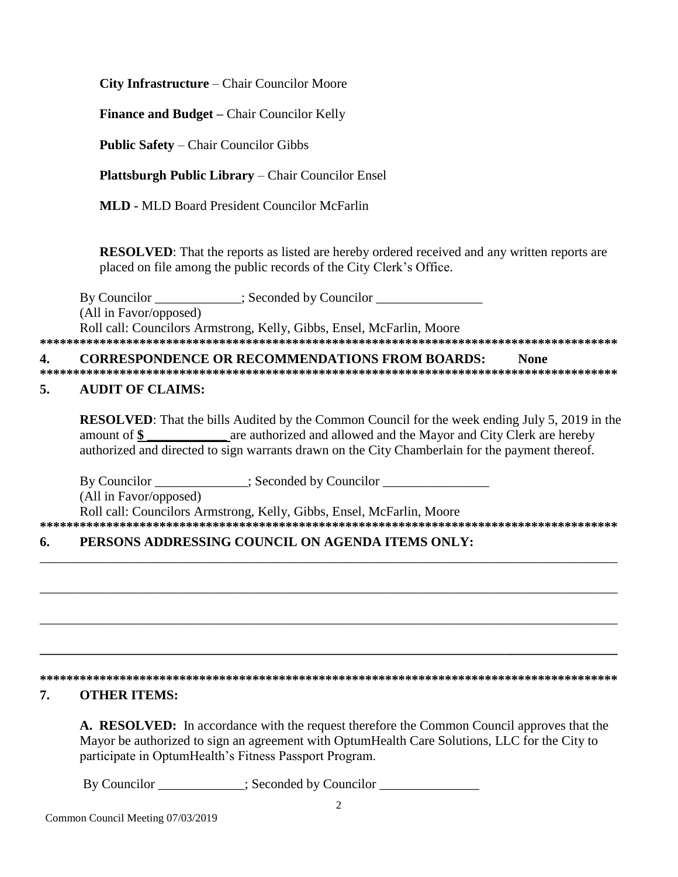City Infrastructure – Chair Councilor Moore

**Finance and Budget – Chair Councilor Kelly** 

**Public Safety – Chair Councilor Gibbs** 

**Plattsburgh Public Library** – Chair Councilor Ensel

**MLD - MLD Board President Councilor McFarlin** 

**RESOLVED:** That the reports as listed are hereby ordered received and any written reports are placed on file among the public records of the City Clerk's Office.

By Councilor \_\_\_\_\_\_\_\_\_\_\_\_; Seconded by Councilor \_\_\_\_\_\_\_\_\_\_\_\_\_\_\_\_\_\_\_\_\_\_\_\_\_\_\_\_\_\_\_ (All in Favor/opposed) Roll call: Councilors Armstrong, Kelly, Gibbs, Ensel, McFarlin, Moore 

#### **CORRESPONDENCE OR RECOMMENDATIONS FROM BOARDS:** 4. **None**

### 5. **AUDIT OF CLAIMS:**

**RESOLVED:** That the bills Audited by the Common Council for the week ending July 5, 2019 in the are authorized and allowed and the Mayor and City Clerk are hereby amount of  $\$\$ authorized and directed to sign warrants drawn on the City Chamberlain for the payment thereof.

By Councilor \_\_\_\_\_\_\_\_\_\_\_\_\_; Seconded by Councilor \_\_\_\_\_\_\_\_\_\_\_\_\_\_\_\_\_\_\_\_\_\_\_\_\_\_\_\_\_\_

(All in Favor/opposed)

Roll call: Councilors Armstrong, Kelly, Gibbs, Ensel, McFarlin, Moore 

### PERSONS ADDRESSING COUNCIL ON AGENDA ITEMS ONLY: 6.

### 7. **OTHER ITEMS:**

A. RESOLVED: In accordance with the request therefore the Common Council approves that the Mayor be authorized to sign an agreement with OptumHealth Care Solutions, LLC for the City to participate in OptumHealth's Fitness Passport Program.

By Councilor \_\_\_\_\_\_\_\_\_\_; Seconded by Councilor \_\_\_\_\_\_\_\_\_\_\_\_\_\_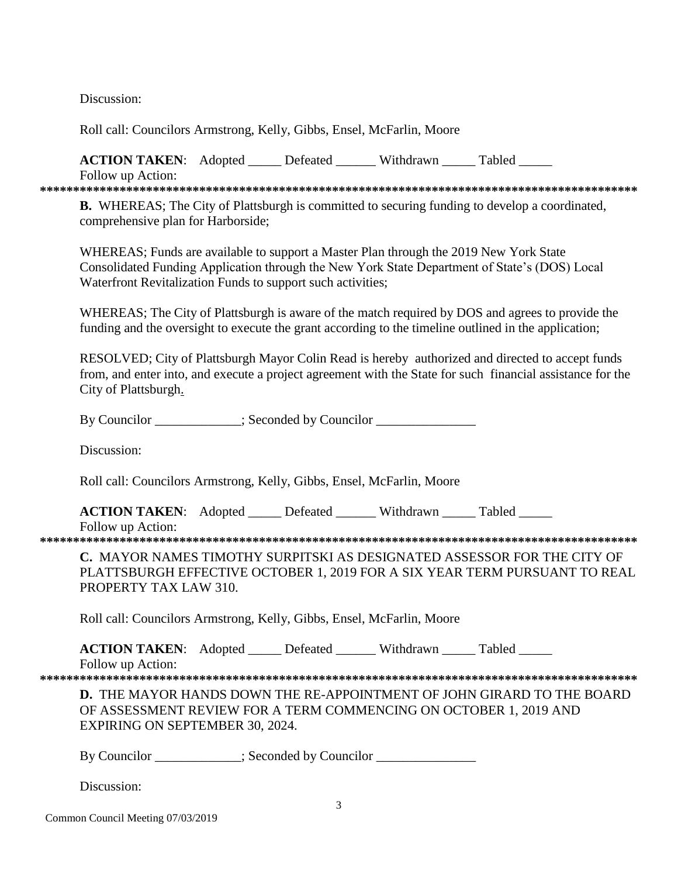Discussion:

Roll call: Councilors Armstrong, Kelly, Gibbs, Ensel, McFarlin, Moore

**ACTION TAKEN:** Adopted Lefeated Withdrawn Tabled Follow up Action:

**B.** WHEREAS; The City of Plattsburgh is committed to securing funding to develop a coordinated, comprehensive plan for Harborside;

WHEREAS; Funds are available to support a Master Plan through the 2019 New York State Consolidated Funding Application through the New York State Department of State's (DOS) Local Waterfront Revitalization Funds to support such activities;

WHEREAS; The City of Plattsburgh is aware of the match required by DOS and agrees to provide the funding and the oversight to execute the grant according to the timeline outlined in the application;

RESOLVED; City of Plattsburgh Mayor Colin Read is hereby authorized and directed to accept funds from, and enter into, and execute a project agreement with the State for such financial assistance for the City of Plattsburgh.

By Councilor : Seconded by Councilor

Discussion:

Roll call: Councilors Armstrong, Kelly, Gibbs, Ensel, McFarlin, Moore

ACTION TAKEN: Adopted \_\_\_\_\_ Defeated \_\_\_\_\_\_ Withdrawn \_\_\_\_\_ Tabled \_\_\_\_\_

Follow up Action: 

C. MAYOR NAMES TIMOTHY SURPITSKI AS DESIGNATED ASSESSOR FOR THE CITY OF PLATTSBURGH EFFECTIVE OCTOBER 1, 2019 FOR A SIX YEAR TERM PURSUANT TO REAL PROPERTY TAX LAW 310.

Roll call: Councilors Armstrong, Kelly, Gibbs, Ensel, McFarlin, Moore

**ACTION TAKEN:** Adopted Defeated Withdrawn Tabled

Follow up Action:

**D.** THE MAYOR HANDS DOWN THE RE-APPOINTMENT OF JOHN GIRARD TO THE BOARD OF ASSESSMENT REVIEW FOR A TERM COMMENCING ON OCTOBER 1, 2019 AND **EXPIRING ON SEPTEMBER 30, 2024.** 

By Councilor : Seconded by Councilor

Discussion: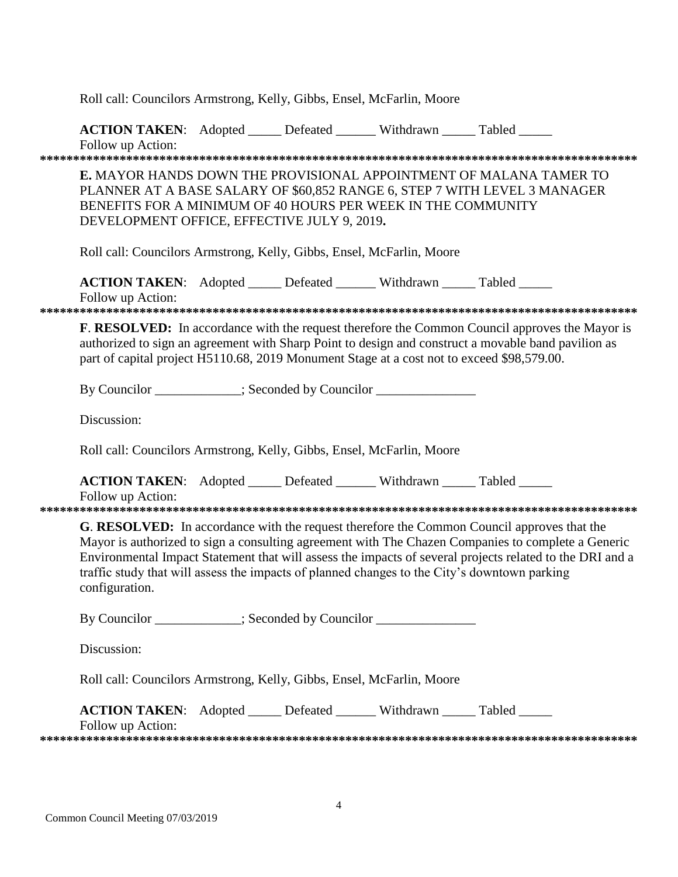|                                                                                                                                                                                                                                                                                                                                                                                                                                | Roll call: Councilors Armstrong, Kelly, Gibbs, Ensel, McFarlin, Moore                                                                                                                                                                                                 |  |  |  |  |
|--------------------------------------------------------------------------------------------------------------------------------------------------------------------------------------------------------------------------------------------------------------------------------------------------------------------------------------------------------------------------------------------------------------------------------|-----------------------------------------------------------------------------------------------------------------------------------------------------------------------------------------------------------------------------------------------------------------------|--|--|--|--|
|                                                                                                                                                                                                                                                                                                                                                                                                                                | ACTION TAKEN: Adopted _____ Defeated ______ Withdrawn _____ Tabled _____<br>Follow up Action:                                                                                                                                                                         |  |  |  |  |
|                                                                                                                                                                                                                                                                                                                                                                                                                                | <b>E. MAYOR HANDS DOWN THE PROVISIONAL APPOINTMENT OF MALANA TAMER TO</b><br>PLANNER AT A BASE SALARY OF \$60,852 RANGE 6, STEP 7 WITH LEVEL 3 MANAGER<br>BENEFITS FOR A MINIMUM OF 40 HOURS PER WEEK IN THE COMMUNITY<br>DEVELOPMENT OFFICE, EFFECTIVE JULY 9, 2019. |  |  |  |  |
|                                                                                                                                                                                                                                                                                                                                                                                                                                | Roll call: Councilors Armstrong, Kelly, Gibbs, Ensel, McFarlin, Moore                                                                                                                                                                                                 |  |  |  |  |
|                                                                                                                                                                                                                                                                                                                                                                                                                                | <b>ACTION TAKEN:</b> Adopted _____ Defeated ______ Withdrawn _____ Tabled _____<br>Follow up Action:                                                                                                                                                                  |  |  |  |  |
| <b>F. RESOLVED:</b> In accordance with the request therefore the Common Council approves the Mayor is<br>authorized to sign an agreement with Sharp Point to design and construct a movable band pavilion as<br>part of capital project H5110.68, 2019 Monument Stage at a cost not to exceed \$98,579.00.                                                                                                                     |                                                                                                                                                                                                                                                                       |  |  |  |  |
|                                                                                                                                                                                                                                                                                                                                                                                                                                | By Councilor ___________; Seconded by Councilor ______________<br>Discussion:<br>Roll call: Councilors Armstrong, Kelly, Gibbs, Ensel, McFarlin, Moore                                                                                                                |  |  |  |  |
|                                                                                                                                                                                                                                                                                                                                                                                                                                |                                                                                                                                                                                                                                                                       |  |  |  |  |
|                                                                                                                                                                                                                                                                                                                                                                                                                                |                                                                                                                                                                                                                                                                       |  |  |  |  |
|                                                                                                                                                                                                                                                                                                                                                                                                                                | ACTION TAKEN: Adopted _____ Defeated ______ Withdrawn _____ Tabled _____<br>Follow up Action:                                                                                                                                                                         |  |  |  |  |
| G. RESOLVED: In accordance with the request therefore the Common Council approves that the<br>Mayor is authorized to sign a consulting agreement with The Chazen Companies to complete a Generic<br>Environmental Impact Statement that will assess the impacts of several projects related to the DRI and a<br>traffic study that will assess the impacts of planned changes to the City's downtown parking<br>configuration. |                                                                                                                                                                                                                                                                       |  |  |  |  |
|                                                                                                                                                                                                                                                                                                                                                                                                                                | By Councilor ___________; Seconded by Councilor ______________<br>Discussion:                                                                                                                                                                                         |  |  |  |  |
|                                                                                                                                                                                                                                                                                                                                                                                                                                |                                                                                                                                                                                                                                                                       |  |  |  |  |
|                                                                                                                                                                                                                                                                                                                                                                                                                                | Roll call: Councilors Armstrong, Kelly, Gibbs, Ensel, McFarlin, Moore                                                                                                                                                                                                 |  |  |  |  |
|                                                                                                                                                                                                                                                                                                                                                                                                                                | ACTION TAKEN: Adopted _____ Defeated ______ Withdrawn _____ Tabled _____<br>Follow up Action:                                                                                                                                                                         |  |  |  |  |